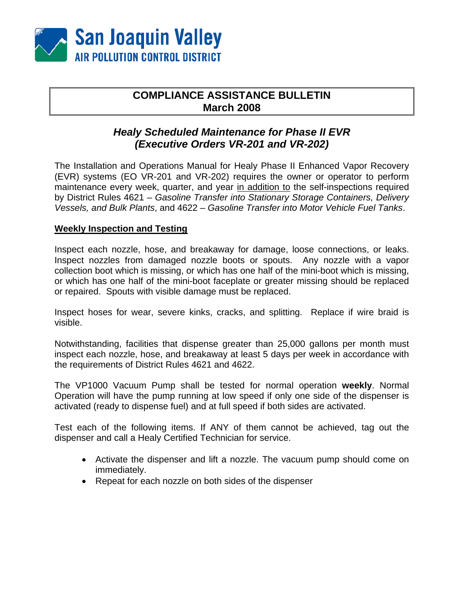

# **COMPLIANCE ASSISTANCE BULLETIN March 2008**

## *Healy Scheduled Maintenance for Phase II EVR (Executive Orders VR-201 and VR-202)*

The Installation and Operations Manual for Healy Phase II Enhanced Vapor Recovery (EVR) systems (EO VR-201 and VR-202) requires the owner or operator to perform maintenance every week, quarter, and year in addition to the self-inspections required by District Rules 4621 – *Gasoline Transfer into Stationary Storage Containers, Delivery Vessels, and Bulk Plants*, and 4622 – *Gasoline Transfer into Motor Vehicle Fuel Tanks*.

### **Weekly Inspection and Testing**

Inspect each nozzle, hose, and breakaway for damage, loose connections, or leaks. Inspect nozzles from damaged nozzle boots or spouts. Any nozzle with a vapor collection boot which is missing, or which has one half of the mini-boot which is missing, or which has one half of the mini-boot faceplate or greater missing should be replaced or repaired. Spouts with visible damage must be replaced.

Inspect hoses for wear, severe kinks, cracks, and splitting. Replace if wire braid is visible.

Notwithstanding, facilities that dispense greater than 25,000 gallons per month must inspect each nozzle, hose, and breakaway at least 5 days per week in accordance with the requirements of District Rules 4621 and 4622.

The VP1000 Vacuum Pump shall be tested for normal operation **weekly**. Normal Operation will have the pump running at low speed if only one side of the dispenser is activated (ready to dispense fuel) and at full speed if both sides are activated.

Test each of the following items. If ANY of them cannot be achieved, tag out the dispenser and call a Healy Certified Technician for service.

- Activate the dispenser and lift a nozzle. The vacuum pump should come on immediately.
- Repeat for each nozzle on both sides of the dispenser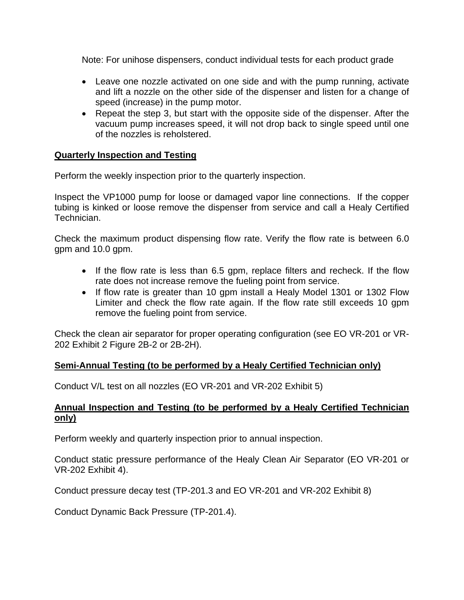Note: For unihose dispensers, conduct individual tests for each product grade

- Leave one nozzle activated on one side and with the pump running, activate and lift a nozzle on the other side of the dispenser and listen for a change of speed (increase) in the pump motor.
- Repeat the step 3, but start with the opposite side of the dispenser. After the vacuum pump increases speed, it will not drop back to single speed until one of the nozzles is reholstered.

### **Quarterly Inspection and Testing**

Perform the weekly inspection prior to the quarterly inspection.

Inspect the VP1000 pump for loose or damaged vapor line connections. If the copper tubing is kinked or loose remove the dispenser from service and call a Healy Certified Technician.

Check the maximum product dispensing flow rate. Verify the flow rate is between 6.0 gpm and 10.0 gpm.

- If the flow rate is less than 6.5 gpm, replace filters and recheck. If the flow rate does not increase remove the fueling point from service.
- If flow rate is greater than 10 gpm install a Healy Model 1301 or 1302 Flow Limiter and check the flow rate again. If the flow rate still exceeds 10 gpm remove the fueling point from service.

Check the clean air separator for proper operating configuration (see EO VR-201 or VR-202 Exhibit 2 Figure 2B-2 or 2B-2H).

### **Semi-Annual Testing (to be performed by a Healy Certified Technician only)**

Conduct V/L test on all nozzles (EO VR-201 and VR-202 Exhibit 5)

### **Annual Inspection and Testing (to be performed by a Healy Certified Technician only)**

Perform weekly and quarterly inspection prior to annual inspection.

Conduct static pressure performance of the Healy Clean Air Separator (EO VR-201 or VR-202 Exhibit 4).

Conduct pressure decay test (TP-201.3 and EO VR-201 and VR-202 Exhibit 8)

Conduct Dynamic Back Pressure (TP-201.4).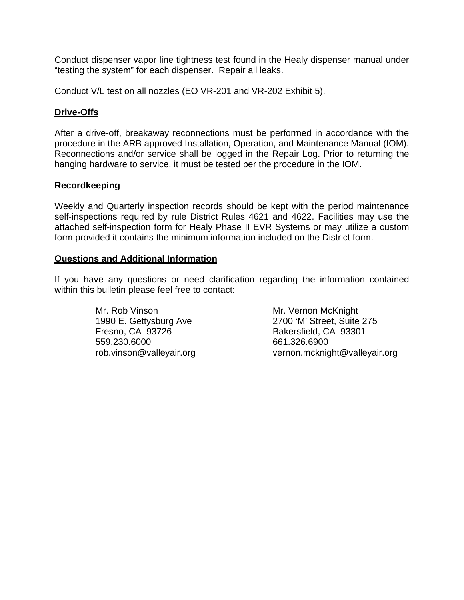Conduct dispenser vapor line tightness test found in the Healy dispenser manual under "testing the system" for each dispenser. Repair all leaks.

Conduct V/L test on all nozzles (EO VR-201 and VR-202 Exhibit 5).

### **Drive-Offs**

After a drive-off, breakaway reconnections must be performed in accordance with the procedure in the ARB approved Installation, Operation, and Maintenance Manual (IOM). Reconnections and/or service shall be logged in the Repair Log. Prior to returning the hanging hardware to service, it must be tested per the procedure in the IOM.

### **Recordkeeping**

Weekly and Quarterly inspection records should be kept with the period maintenance self-inspections required by rule District Rules 4621 and 4622. Facilities may use the attached self-inspection form for Healy Phase II EVR Systems or may utilize a custom form provided it contains the minimum information included on the District form.

#### **Questions and Additional Information**

If you have any questions or need clarification regarding the information contained within this bulletin please feel free to contact:

> Mr. Rob Vinson Mr. Vernon McKnight Fresno, CA 93726 Bakersfield, CA 93301 559.230.6000 661.326.6900

 1990 E. Gettysburg Ave 2700 'M' Street, Suite 275 rob.vinson@valleyair.org vernon.mcknight@valleyair.org